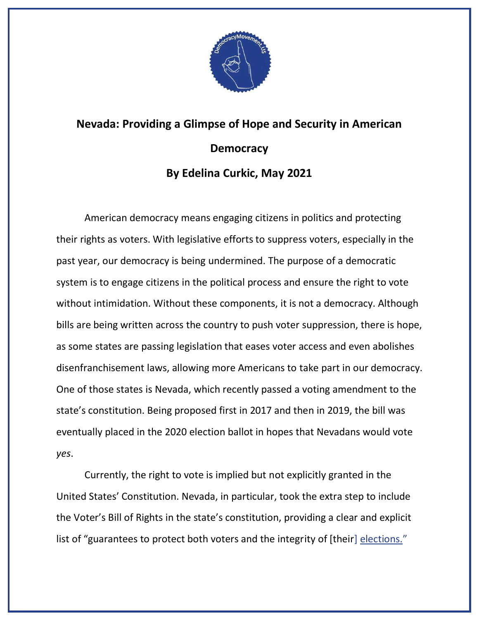

## **Nevada: Providing a Glimpse of Hope and Security in American Democracy By Edelina Curkic, May 2021**

American democracy means engaging citizens in politics and protecting their rights as voters. With legislative efforts to suppress voters, especially in the past year, our democracy is being undermined. The purpose of a democratic system is to engage citizens in the political process and ensure the right to vote without intimidation. Without these components, it is not a democracy. Although bills are being written across the country to push voter suppression, there is hope, as some states are passing legislation that eases voter access and even abolishes disenfranchisement laws, allowing more Americans to take part in our democracy. One of those states is Nevada, which recently passed a voting amendment to the state's constitution. Being proposed first in 2017 and then in 2019, the bill was eventually placed in the 2020 election ballot in hopes that Nevadans would vote *yes*.

Currently, the right to vote is implied but not explicitly granted in the United States' Constitution. Nevada, in particular, took the extra step to include the Voter's Bill of Rights in the state's constitution, providing a clear and explicit list of "guarantees to protect both voters and the integrity of [their] [elections.](https://thenevadaindependent.com/article/the-indy-explains-question-4-enshrining-voting-rights-in-the-state-constitution)"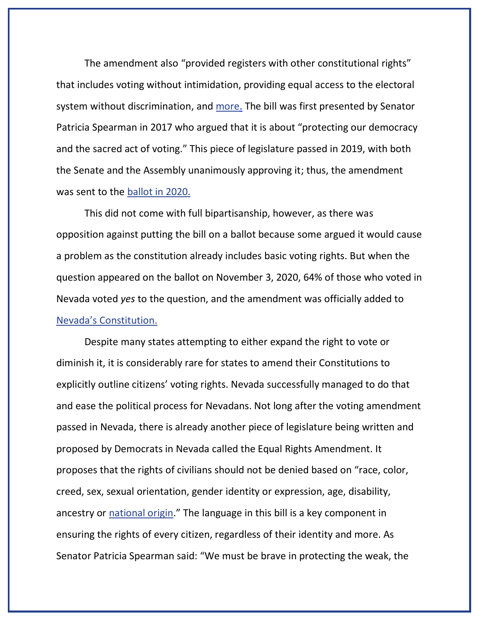The amendment also "provided registers with other constitutional rights" that includes voting without intimidation, providing equal access to the electoral system without discrimination, and [more.](https://thenevadaindependent.com/article/the-indy-explains-question-4-enshrining-voting-rights-in-the-state-constitution) The bill was first presented by Senator Patricia Spearman in 2017 who argued that it is about "protecting our democracy and the sacred act of voting." This piece of legislature passed in 2019, with both the Senate and the Assembly unanimously approving it; thus, the amendment was sent to the [ballot in 2020.](https://thenevadaindependent.com/article/the-indy-explains-question-4-enshrining-voting-rights-in-the-state-constitution)

This did not come with full bipartisanship, however, as there was opposition against putting the bill on a ballot because some argued it would cause a problem as the constitution already includes basic voting rights. But when the question appeared on the ballot on November 3, 2020, 64% of those who voted in Nevada voted *yes* to the question, and the amendment was officially added to [Nevada's Constitution](https://ballotpedia.org/Nevada_Question_4,_State_Constitutional_Rights_of_Voters_Amendment_(2020)).

Despite many states attempting to either expand the right to vote or diminish it, it is considerably rare for states to amend their Constitutions to explicitly outline citizens' voting rights. Nevada successfully managed to do that and ease the political process for Nevadans. Not long after the voting amendment passed in Nevada, there is already another piece of legislature being written and proposed by Democrats in Nevada called the Equal Rights Amendment. It proposes that the rights of civilians should not be denied based on "race, color, creed, sex, sexual orientation, gender identity or expression, age, disability, ancestry or [national origin](https://thenevadaindependent.com/article/lawmakers-push-to-add-equal-rights-language-to-nevada-constitution-following-long-national-era-effort)." The language in this bill is a key component in ensuring the rights of every citizen, regardless of their identity and more. As Senator Patricia Spearman said: "We must be brave in protecting the weak, the